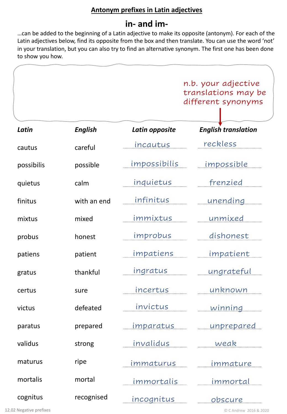## **Antonym prefixes in Latin adjectives**

# **in- and im-**

…can be added to the beginning of a Latin adjective to make its opposite (antonym). For each of the Latin adjectives below, find its opposite from the box and then translate. You can use the word 'not' in your translation, but you can also try to find an alternative synonym. The first one has been done to show you how.

|            |                |                   | n.b. your adjective<br>translations may be<br>different synonyms |
|------------|----------------|-------------------|------------------------------------------------------------------|
| Latin      | <b>English</b> | Latin opposite    | <b>English translation</b>                                       |
| cautus     | careful        | incautus          | reckless                                                         |
| possibilis | possible       | impossibilis      | <u>impossible</u>                                                |
| quietus    | calm           | inquietus         | frenzied                                                         |
| finitus    | with an end    | infinitus         | <u>unending</u>                                                  |
| mixtus     | mixed          | immixtus          | unmixed                                                          |
| probus     | honest         | improbus          | dishonest                                                        |
| patiens    | patient        | impatiens         | <u>impatient</u>                                                 |
| gratus     | thankful       | ingratus          | ungrateful                                                       |
| certus     | sure           | incertus          | unknown                                                          |
| victus     | defeated       | invictus          | <u>winning</u>                                                   |
| paratus    | prepared       | <u>imparatus </u> | <u>unprepared</u>                                                |
| validus    | strong         | invalidus         | weak                                                             |
| maturus    | ripe           | immaturus         | <u>immature</u>                                                  |
| mortalis   | mortal         | <u>immortalis</u> | <u>immortal</u>                                                  |
| cognitus   | recognised     | <u>incognitus</u> | <u>obscure</u>                                                   |

12.02 Negative prefixes © C Andrew 2016 & 2020